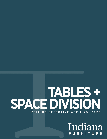# **SPACE DIVISION TABLES + PRICING EFFECTIVE APRIL 25, 2022**

Indiana FURNITURE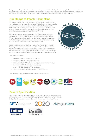Being over a century old hasn't slowed us down! Sure, we are still the reliable, ethical company that was born in southern Indiana, steeped in quality, craftsmanship, and service. But have you seen our latest introductions? We are making a splash with design and challenging the concept of modern offices. Go ahead. Take a look. You know you want to.

### **Our Pledge to People + Our Plant.**

We've been making wood furniture longer than just about anyone…and we want to be doing so for a long time to come. That's a large part of why we take a stewardship approach to our resources. We believe that environmental sustainability and business profits need not be mutually exclusive. They can and should exist side by side in a mutually beneficial relationship. And for more than a century, we've been showing how it's done.

We've proven our commitment to a sustainable future by supporting the standards and programs that protect our home planet and human health. Whether it's local sourcing, reducing contaminants, implementing wellness and safety programs, or diverting waste from landfills, social responsibility is a part of every decision we make at Indiana Furniture.

One of the surest ways to reduce our impact on the planet is to make and buy things that last. And this one's a natural for us. Our products are made with craftsmanship and attention to detail that are a part of our more than a century-long legacy in wood manufacturing. And our products are backed by our 12-year warranty, which facilitates maintenance, servicing and reassembly.

All of our product lines:

- Are manufactured and assembled in the USA,
- Meet or exceed Indoor Air quality standards\*,
- Meet or exceed BIFMA level® Sustainability standards and certification\*,
- Conform to the BIFMA Compliance standards\*,
- Comply with TSCA Title VI (CARB) standards,
- and can contribute to U.S. Green Building's LEED Program.

To learn more, simply go to www.IndianaFurniture.com/resources.



## **Ease of Specification**

Whether you're looking to specify your office spaces or simply to visualize them in the options and surface materials you are desiring, we make it easy. You can find the entire Indiana Furniture portfolio on the following third-party, space-planning platforms.



data systems



collaborator





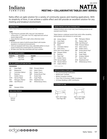

## **MEETING + COLLABORATIVE TABLES (NAT SERIES) NATTA** SIN 33721

Natta offers an agile solution for a variety of community spaces and meeting applications. With its simplicity of form, it can achieve a subtle effect and still provide an excellent solution for any meeting and breakout environment.

#### **CONSTRUCTION**

Natta Tables feature a wood base with HPL top.

#### TOPS

- High Pressure Laminate (HPL) tops are 3-ply balanced construction, 11/2" thick with 1 mm PVC edge band and vertical square edge profile
- Grain direction runs left to right unless otherwise noted **CHASSIS**
- All frames are made of solid European Beech with doubledoweled or mortised and tenoned joints
- Units are equipped with heavy-duty, adjustable glides to ensure proper leveling and compensation for uneven floors
- All table units ship fully assembled with tops installed

#### **HOW TO ORDER EXAMPLE**

| Model No. | <b>Description</b> | Example    |  |
|-----------|--------------------|------------|--|
| NAT-1     | Top Color          | <b>SBP</b> |  |
|           | Leg Finish         | SBP        |  |

#### **HPL (P) LAMINATE OPTIONS ON TOPS**

#### **WOODGRAIN**

| AS         | Asian Night          | <b>PNW</b> | Pinnacle Walnut     |
|------------|----------------------|------------|---------------------|
| <b>BW</b>  | Beigewood            | <b>SCH</b> | Select Cherry       |
| CO         | Columbian Walnut     | <b>SKC</b> | Shaker Cherry       |
| FF         | Espresso             | <b>SBP</b> | Smoky Brown Pear    |
| GC         | Golden Cherry        | TK         | Studio Teak         |
| <b>HVM</b> | <b>Harvest Maple</b> | <b>SM</b>  | Sugar Maple         |
| <b>MW</b>  | Mahogany Walnut      | WTA        | Weathered Ash       |
| ORW        | Oak Riftwood         | WC         | Williamsburg Cherry |

WH Designer White

#### **TABLE EDGE PROFILE**



#### **WOOD FINISHES AVAILABLE ON BASE/LEGS**

Indiana Furniture uses a multi-step, hand finishing process on all exposed wood frames.

Tables feature a catalyzed varnish finish which offers durability, lasting beauty, and resistance to normal wear.

| <b>AW</b> | Artisan Walnut          | <b>MW</b>  | Mahogany Walnut     |
|-----------|-------------------------|------------|---------------------|
| AS        | Asian Night             | МO         | Medium Oak*         |
| <b>BW</b> | Beigewood*              | ORW        | Oak Riftwood*       |
| BL        | <b>Black</b>            | <b>PNW</b> | Pinnacle Walnut     |
| CO.       | Columbian Walnut        | <b>SCH</b> | Select Cherry       |
| DC        | Dark Cherry             | <b>SKC</b> | Shaker Cherry       |
|           | DFW Dark Forest Walnut* | <b>SBP</b> | Smoky Brown Pear*   |
| <b>WH</b> | Designer White          | TK         | Studio Teak         |
| EF.       | Espresso                | <b>SM</b>  | Sugar Maple         |
| FO.       | Fawn Oak*               | <b>SW</b>  | Sunglow Walnut      |
| GC        | Golden Cherry           | TT         | Tavern Teak*        |
|           | HVM Harvest Maple*      | WTA        | Weathered Ash*      |
| <b>HW</b> | Harvest Walnut          | <b>WC</b>  | Williamsburg Cherry |
| LW        | Legacy Walnut           |            |                     |

\* Finish is Low Sheen

#### **CERTIFICATIONS & COMPLIANCE**

- ETL Environmental Certification
- BIFMA level® Certified
- BIFMA Compliant Certified
- TSCA Title VI (Formerly CARB) Compliance
- US Green Building's LEED Contribution

#### **STATEMENT OF LINE**



NAT-1: 30"H Table



(See Page 138) Vertical (See Page 138) NAT-2: 42"H Table



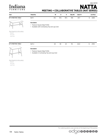

## **NATTA** SIN 33721

### **MEETING + COLLABORATIVE TABLES (NAT SERIES)**

| Item                                                                | Model No.                                                                                              | W               | D               | н   | Ship Wt | <b>Cubic Ft</b> |    | <b>List Price</b> |
|---------------------------------------------------------------------|--------------------------------------------------------------------------------------------------------|-----------------|-----------------|-----|---------|-----------------|----|-------------------|
| <b>30"H MEETING TABLE</b>                                           | NAT-1                                                                                                  | $61\frac{1}{2}$ | $35\frac{1}{2}$ | 30½ | 106     | 43.7            | \$ | 2226              |
| Ш                                                                   | <b>Description</b><br>• Features Square Edge Profile<br>• Available with Contrasting Top and Leg Color |                 |                 |     |         |                 |    |                   |
| Must Specify (in this order):<br>Model #<br>Top Color<br>Leg Finish |                                                                                                        |                 |                 |     |         |                 |    |                   |

| 42"H<br><b>TABLE</b><br><b>MEETING</b> | $\mathbf{1}$ | $\sim$ $-$<br>ັບ<br>___ | $\overline{a}$<br>--<br>__ | . .<br>⇁ | 11 F<br>ن ا ا<br>___ | 64.U | ヘフロフ<br>ັ |  |
|----------------------------------------|--------------|-------------------------|----------------------------|----------|----------------------|------|-----------|--|
|                                        |              |                         |                            |          |                      |      |           |  |



#### **Description**

• Features Square Edge Profile

• Available in Contrasting Top and Leg Color

Must Specify (in this order):

Model # Top Color Leg Finish

For ordering options, see overview at the beginning of this section.

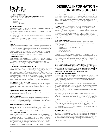## Indiana URNITURE

#### **ORDERING INFORMATION**

All orders should be emailed to neworders@indianafurniture.com.

Orders can be faxed to 812-482-9035 or mailed to: Indiana Furniture

P.O. Box 270 1224 Mill Street Jasper, IN 47547-0270

#### **ORDER PROCEDURE**

All orders must include purchase order number, billing address, ship-to address and phone number, and any special instructions.

When ordering casegoods or tables, give complete quantity, model number, finish and any other options.

When ordering seating, give complete quantity, model number, finish, fabric and any other options.

Within each series, an example of "How to Order" is illustrated at the beginning of each series section. For further clarification of order procedure, contact Customer Service.

#### **PRICING**

All prices shown are suggested retail prices F.O.B. Point of Origin, freight prepaid and allowed to one continental US destination. Prices, specifications and materials are subject to change without notice. Possession and/or distribution of this price list does not in itself constitute an offer to sell. Orders can be received only from authorized Indiana Furniture dealers. Orders will be billed at prices prevailing at time of shipment, unless acknowledged prior to the effective date of the price change, in which case billing will be at the price acknowledged.

#### **ACKNOWLEDGMENT**

All orders will be acknowledged promptly, showing how the order was entered, its approximate shipping date and other pertinent information. This acknowledgment is the final agreement between the customer and Indiana Furniture and is the exclusive statement of the terms thereof. Please examine this acknowledgment carefully and advise Indiana Furniture immediately of any discrepancies.

#### **BUYER'S OBLIGATION: RIGHTS OF SELLER**

If Indiana Furniture shall at any time doubt Buyer's financial responsibility, Indiana Furniture may decline to make shipments hereunder except upon receipt of cash payment in advance or security or other proof of responsibility satisfactory to Indiana Furniture. If buyer fails in any way to fulfill the terms and conditions set forth herein, Indiana Furniture may defer shipments until such default is corrected. Remedies provided herein shall be in addition to, and not in lieu of other remedies. Buyer agrees to abide by payment terms as listed on invoice. Buyer shall pay all reasonable costs and expenses, including attorney and collection fees, and late fees, incurred by Seller in connection with any amounts due for goods ordered.

#### **CANCELLATIONS AND CHANGES**

Due to immediate production on build-to-order items, all orders are considered firm and are not subject to cancellation or change without approval from Indiana Furniture. All approved changes are subject to additional charges and revised lead times.

#### **PRODUCT DESIGN AND SPECIFICATION CHANGES**

Indiana Furniture reserves the right to make changes in design and construction or discontinue products without prior notice.

#### **REPAIR CHARGES**

Indiana Furniture will only pay repair charges if Customer Service gives prior written authorization. No repair charge will be paid without advance approval at which time you will be issued a repair authorization number that will allow you to invoice Indiana Furniture for the completed work.

#### **WAREHOUSE STORAGE CHARGES**

If a shipment is held beyond 14 calendar days at your request, a .067% per calendar day (2% per month) storage charge will be assessed. The effective date will be 14 calendar days after the acknowledged ship date. Further, the prices applied to the order will be those in effect at the time of shipment.

#### **DAMAGED MERCHANDISE**

The consignee is responsible for filing claims with the carrier for damage and shortages. Claims for both obvious and concealed damage must be filed within 15 calendar days, and the damaged merchandise must not have been moved from the original receiving location. All damaged merchandise, including the cartons and packing materials, must be retained for inspection by either the carrier or by an Indiana Furniture Sales Representative. Indiana Furniture reserves the right to select the most cost effective way to repair or replace the damaged item. Once you have notified the carrier, please contact Customer Service for further assistance.

## **GENERAL INFORMATION + CONDITIONS OF SALE**

**IORDERING INFORMATION CONSECTED ACCESS Obvious Damage/Missing Cartons**  $-$  Do not refuse merchandise damaged in **Wt** transit. Indiana Furniture recommends the consignee inspect all merchandise upon arrival. If a shipment is received damaged or short, note all information on carrier's copy and your copy of freight bill and delivery receipt. Notify the delivering carrier and file a claim immediately. Pending the results of your claim, either Indiana Furniture or the carrier will cover 100% of the cost to repair or replace the damaged or missing item.

> **Concealed Damage** — If concealed damage is discovered, notify the delivering carrier at once and request an inspection. This must be done within 15 calendar days of delivery. If the carrier will not perform the inspection, you should prepare an affidavit that you contacted them, noting the time and date, and that they failed to comply with your request. This, along with the other papers in your possession, will support the claim. Pending the results of your claim, the cost to repair or replace the item will be covered 1/3 by the carrier and 3/3 by Indiana Furniture for shipments less than a full truckload and 100% by Indiana Furniture for shipments of full truck loads.

#### **RETURN MERCHANDISE**

Merchandise will not be accepted for return without a RGA (Return Goods Authorization) issued by Indiana Furniture. We will consider issuing RGA's for the following reasons:

- 1. Manufacturing defect (inspected by Indiana Furniture representative)
- 2. Indiana Furniture order processing error
- 3. Shipping error
- 4. Mis-marked cartons
- 5. Duplicated shipments

If you have any questions as to whether your reason for return qualifies for consideration, please contact your Customer Service Representative. Merchandise must be returned within 60 days of the RGA issued date, or within 60 days upon receipt of replacement product to receive credit. Returns due to mis-marked cartons must also be returned in the original cartoning, with shipping labels intact, to receive credit.

All merchandise being returned must be properly packed and protected to ensure no further damage is incurred during transportation back to an Indiana Furniture facility. Upon receipt, all returned merchandise will be thoroughly inspected and the results compared to the reason for return stated on the RGA. Any discrepancies, such as additional damage, signs of usage, missing parts, etc., will result in an adjustment to the amount of credit issued.

#### **DELIVERY AND FREIGHT CHARGES**

All shipments are F.O.B. Point of Origin, Jasper, IN, freight prepaid and allowed dock to dock on 53' trailer. Ownership and responsibility of the merchandise becomes that of the buyer upon delivery to the freight company. Shipments into Alaska, Hawaii, Canada, Mexico, Puerto Rico and other exports are freight prepaid and allowed to port of exit.

Indiana Furniture reserves the right to select the most appropriate carrier and routing on all shipments. Indiana Furniture will attempt to accommodate requests for favored carriers and delivery times. Deliveries requested Monday through Thursday, after 3pm, will be assessed a \$300 per truck after hours fee. Deliveries requested after 3pm on Friday or on weekends, will be assessed a \$600 per truck weekend delivery fee.

Inside delivery and installation services are not included in the pricing shown. Any deviation from dock-to-dock delivery, such as but not limited to, non-dock, residential, or inside delivery must be specified on the order. Should these services be requested or required, all charges incurred will be charged to the "Sold To" of the order.

Shipments totaling less than \$3000 (net value, product only) will be assessed a small order fee of \$300 net per shipment. This fee will be reduced for items shipped via small package carriers. For order shipments of \$100 or less, shipped by small package carrier, the fee is \$18. For order shipments over \$100, shipped by small package carrier, the fee is \$40.

#### **BIFMA AND ANSI TESTING**

Indiana Furniture is a member of the Business and Institutional Furniture Manufacturer's Association (BIFMA). Tests developed by the BIFMA and approved by the American National Standards Institute (ANSI) determine the strength and durability of casegoods and seating in its everyday use. Although this testing does not serve as a warranty or guarantee, Indiana Furniture products within this price list have been tested by an independent verifying body and meet or exceed applicable BIFMA and ANSI standards.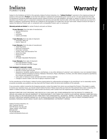## Indiana

## **Warranty**

Subject to the limitations set forth in this warranty, Indiana Furniture Industries, Inc. ("**Indiana Furniture**") warrants to **Cubic Ft List Price** Subject to the limitations set forth in this warranty, Indiana Furniture Industries, Inc. ("**Indiana Furniture**") warrants to the original purchaser all product in this price list ("**Product**") to be free from defects in material and workmanship given normal use for a 12-year period from the date of manufacture. During the applicable warranty period, Indiana Furniture, as its sole obligation, will repair or replace (in Indiana Furniture's sole discretion) any Product, part, or component covered by this warranty and sold after April 25, 2022, which fails under normal use as a result of a defect in material or workmanship. Normal use is defined as the equivalent of a single shift, 40-hour work week. Indiana Furniture will repair or replace the defective Product, part, or component with a comparable Product, part, or component.

#### **Warranty periods are limited** for certain Products and parts as follows:

**12-year Warranty** (from the date of manufacture)

- Seating Mechanisms
- Veneers
- **Laminates**
- Casters and Glides

#### **7-year Warranty** (from the date of shipment)

- Pneumatic Table Lift
- Electric Table Lift

#### **5-year Warranty** (from the date of manufacture)

- Triple Play Series
- Electrical Components
- Pneumatic Cylinders
- Textiles, Foam, and Decorative Trim
- Swivel Arm Pads
- Keyboard Kits
- Lighting
- All Height Adjustable Mechanisms

**3-year Warranty** (from date of shipment)

- Dock 950 Wireless Charger
- Dock 150 Wireless and USB Charger

#### **THIS WARRANTY DOES NOT COVER:**

- Damage caused by a carrier or third party
- Normal or routine wear and tear
- Appearance, durability, quality, behavior, colorfastness, or any other attribute of customer's own materials or any non-standard Indiana Furniture material (including CF Stinson, Maharam, Momentum, Mayer, UltraFabrics, Architex, and other alliance programs) specified by the customer and applied to a Product
- Color, grain or texture of wood, laminate and other covering materials
- Changes in wood or fabric color due to aging or exposure to light

As the manufacturer of the Product, Indiana Furniture stands behind its craftsmanship and pledges to do everything it can to reasonably resolve, as quickly as possible, any problems you may have with the Product within the terms and conditions of this warranty.

If you encounter a defect covered by the foregoing warranty, contact the dealer from whom you purchased the Product. If the dealer is unable to resolve your warranty issues, you should contact Indiana Furniture. Please ensure that you have all of the pertinent facts when contacting the dealer or Indiana Furniture, including the model number and factory order number from the inspection label attached to the Product.

INDIANA FURNITURE IS NOT PROVIDING, AND SPECIFICALLY DISCLAIMS, ANY OTHER WARRANTIES FOR THE PRODUCTS, EXPRESS OR IMPLIED, INCLUDING ANY IMPLIED WARRANTY OF MERCHANTABILITY OR FITNESS FOR A PARTICULAR PURPOSE. INDIANA FURNITURE SHALL NOT BE LIABLE TO THE PURCHASER OR ANY THIRD PARTY FOR CONSEQUENTIAL, INCIDENTAL, INDIRECT, OR SPECIAL DAMAGES, INCLUDING, WITHOUT LIMITATION, DAMAGES ARISING OUT OF OR RESULTING IN ANY MALFUNCTIONS, DELAYS, LOSS OF PROFIT, INTERRUPTION OF BUSINESS, PERSONAL INJURY, BODILY INJURY, DEATH, DISMEMBERMENT, OR PROPERTY DAMAGE.

Indiana Furniture Industries, Inc. Attn: Customer Service 1224 Mill Street, P.O. Box 270 Jasper, Indiana 47547-0270 800.422.5727 Fax 812.482.9035 custserv@indianafurniture.com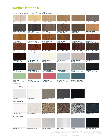## **Surface Materials**

Wood Finishes and Woodgrain, Solid, and 3D Laminates

| Beigewood (BW)<br><b>Sunglow Walnut (SW)</b><br>Fawn Oak (FO)<br><b>Weathered Ash (WTA)</b><br><b>Sugar Maple (SM)</b><br>Oak Riftwood (ORW)<br>Veneer*, Seating*<br>TFL, HPL, Seating*<br>Veneer, TFL, HPL, Seating<br>Veneer*, TFL, HPL, Seating*<br>Veneer, Seating<br>Veneer*, TFL, HPL, Seating*                               |  |
|-------------------------------------------------------------------------------------------------------------------------------------------------------------------------------------------------------------------------------------------------------------------------------------------------------------------------------------|--|
|                                                                                                                                                                                                                                                                                                                                     |  |
|                                                                                                                                                                                                                                                                                                                                     |  |
| <b>Asian Night (AS)</b><br><b>Studio Teak (TK)</b><br><b>Pinnacle Walnut (PNW)</b><br><b>Tavern Teak (TT)</b><br><b>Smoky Brown Pear (SBP)</b><br><b>Harvest Maple (HVM)</b><br>Veneer, TFL, HPL, Seating<br>TFL, HPL, Seating<br>TFL, HPL, Seating<br>Veneer, Seating*<br>Veneer, TFL, HPL, Seating*<br>Veneer, TFL, HPL, Seating* |  |
|                                                                                                                                                                                                                                                                                                                                     |  |
| Medium Oak (MO)<br><b>Golden Cherry (GC)</b><br>Legacy Walnut (LW)<br><b>Shaker Cherry (SKC)</b><br><b>Select Cherry (SCH)</b><br><b>Artisan Walnut (AW)</b><br>Veneer*, Seating*<br>Veneer, TFL, HPL, Seating<br>Veneer, Seating<br>Veneer, TFL, HPL, Seating<br>Veneer, TFL, HPL, Seating<br>Veneer, Seating                      |  |
|                                                                                                                                                                                                                                                                                                                                     |  |
| Dark Cherry (DC)<br><b>Mahogany Walnut (MW)</b><br><b>Columbian Walnut (CO)</b><br>Dark Forest Walnut (DFW)<br><b>Harvest Walnut (HW)</b><br><b>Williamsburg Cherry (WC)</b><br>Veneer, Seating<br>Veneer, TFL, HPL, Seating<br>Veneer, TFL, HPL, Seating<br>Veneer, Seating*<br>Veneer, TFL, HPL, Seating<br>Veneer, Seating       |  |
|                                                                                                                                                                                                                                                                                                                                     |  |
| Espresso (EW/EF)<br><b>Designer White (WH)</b><br><b>Fashion Grey (FHG)</b><br>Slate Grey (SG)<br><b>White Sand (WHS)</b><br><b>Pepperdust (PPD)</b><br>Veneer, TFL, HPL, Seating<br>TFL, HPL<br>TFL, HPL, Seating<br>TFL, HPL<br>TFL, HPL<br>TFL, HPL                                                                              |  |
|                                                                                                                                                                                                                                                                                                                                     |  |
| <b>Black (BL)</b><br><b>Pewter Mesh (PTM)</b><br><b>Steel Mesh (STM)</b><br>Matte White (WH3)<br>Concrete (CR3)<br>Matte Black (BL3)<br>TFL, HPL, Seating<br>HPL (training tables only)<br>HPL (training tables only)<br>3D Laminate (Iconic Only)<br>3D Laminate (Iconic Only)<br>3D Laminate (Iconic Only)                        |  |
|                                                                                                                                                                                                                                                                                                                                     |  |
| <b>Enamel (ENL)</b><br><b>Blush (BSH)</b><br>First Kiss (FK)<br>Surfin USA (SUS)<br><b>Summer Vacation (SV)</b><br>HPL Accent (Iconic Only)<br>HPL Accent (Iconic Only)<br>HPL Accent (Iconic Only)<br>HPL Accent (Iconic Only)<br>HPL Accent (Iconic Only)                                                                         |  |

\* Finish is Low Sheen

Frosted & High Gloss Acrylics



**Oyster White (OYST)**

**Sugar Cookie (SUGC) Aluminum (ALUM) Chrome (CHRM) Mist (MIST) Black (BLK) / Noir (NOIR)**

Colors represented are high-resolution reproductions and may vary slightly from the actual product. To order samples, please contact our Customer Service team or order online at www.indianafurniture.com. Graining and finish colors may vary, yet will continue to complement, across Veneer, HPL, TFL, and Seating products due to the inherent differences of these materials.